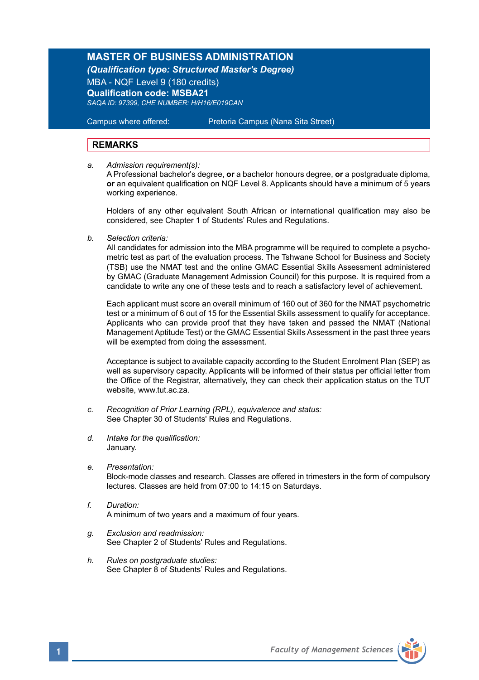# **MASTER OF BUSINESS ADMINISTRATION**

*(Qualification type: Structured Master's Degree)*

MBA - NQF Level 9 (180 credits) **Qualification code: MSBA21**  *SAQA ID: 97399, CHE NUMBER: H/H16/E019CAN*

Campus where offered: Pretoria Campus (Nana Sita Street)

## **REMARKS**

*a. Admission requirement(s):*

 A Professional bachelor's degree, **or** a bachelor honours degree, **or** a postgraduate diploma, **or** an equivalent qualification on NQF Level 8. Applicants should have a minimum of 5 years working experience.

 Holders of any other equivalent South African or international qualification may also be considered, see Chapter 1 of Students' Rules and Regulations.

*b. Selection criteria:*

All candidates for admission into the MBA programme will be required to complete a psychometric test as part of the evaluation process. The Tshwane School for Business and Society (TSB) use the NMAT test and the online GMAC Essential Skills Assessment administered by GMAC (Graduate Management Admission Council) for this purpose. It is required from a candidate to write any one of these tests and to reach a satisfactory level of achievement.

Each applicant must score an overall minimum of 160 out of 360 for the NMAT psychometric test or a minimum of 6 out of 15 for the Essential Skills assessment to qualify for acceptance. Applicants who can provide proof that they have taken and passed the NMAT (National Management Aptitude Test) or the GMAC Essential Skills Assessment in the past three years will be exempted from doing the assessment.

Acceptance is subject to available capacity according to the Student Enrolment Plan (SEP) as well as supervisory capacity. Applicants will be informed of their status per official letter from the Office of the Registrar, alternatively, they can check their application status on the TUT website, www.tut.ac.za.

- *c. Recognition of Prior Learning (RPL), equivalence and status:* See Chapter 30 of Students' Rules and Regulations.
- *d. Intake for the qualification:* January.
- *e. Presentation:* Block-mode classes and research. Classes are offered in trimesters in the form of compulsory lectures. Classes are held from 07:00 to 14:15 on Saturdays.
- *f. Duration:*  A minimum of two years and a maximum of four years.
- *g. Exclusion and readmission:* See Chapter 2 of Students' Rules and Regulations.
- *h. Rules on postgraduate studies:* See Chapter 8 of Students' Rules and Regulations.

**1** *Faculty of Management Sciences*

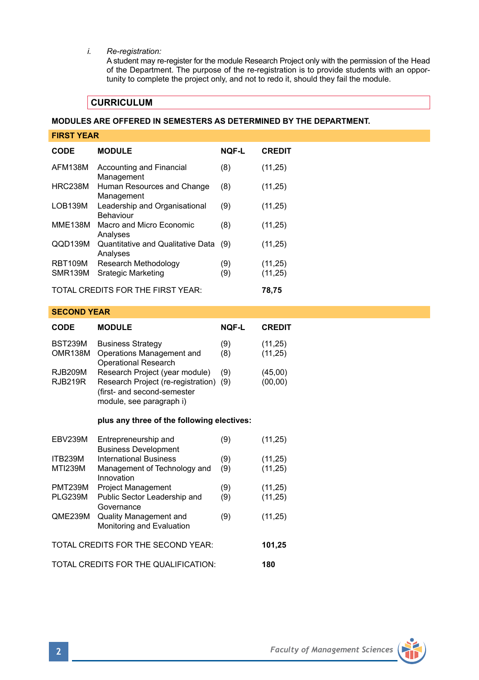## *i. Re-registration:*

A student may re-register for the module Research Project only with the permission of the Head of the Department. The purpose of the re-registration is to provide students with an opportunity to complete the project only, and not to redo it, should they fail the module.

# **CURRICULUM**

## **MODULES ARE OFFERED IN SEMESTERS AS DETERMINED BY THE DEPARTMENT.**

| <b>FIRST YEAR</b>                          |                                                   |              |               |  |  |
|--------------------------------------------|---------------------------------------------------|--------------|---------------|--|--|
| <b>CODE</b>                                | <b>MODULE</b>                                     | <b>NOF-L</b> | <b>CREDIT</b> |  |  |
| AFM138M                                    | Accounting and Financial<br>Management            | (8)          | (11,25)       |  |  |
| HRC238M                                    | Human Resources and Change<br>Management          | (8)          | (11,25)       |  |  |
| LOB139M                                    | Leadership and Organisational<br><b>Behaviour</b> | (9)          | (11,25)       |  |  |
| <b>MME138M</b>                             | Macro and Micro Economic<br>Analyses              | (8)          | (11, 25)      |  |  |
| QQD139M                                    | Quantitative and Qualitative Data<br>Analyses     | (9)          | (11, 25)      |  |  |
| <b>RBT109M</b>                             | Research Methodology                              | (9)          | (11, 25)      |  |  |
| <b>SMR139M</b>                             | Srategic Marketing                                | (9)          | (11, 25)      |  |  |
| TOTAL CREDITS FOR THE FIRST YEAR:<br>78.75 |                                                   |              |               |  |  |

#### **SECOND YEAR**

| <b>CODE</b>    | <b>MODULE</b>                          | <b>NOF-L</b> | <b>CREDIT</b> |
|----------------|----------------------------------------|--------------|---------------|
| <b>BST239M</b> | <b>Business Strategy</b>               | (9)          | (11, 25)      |
| OMR138M        | Operations Management and              | (8)          | (11, 25)      |
|                | <b>Operational Research</b>            |              |               |
| <b>RJB209M</b> | Research Project (year module)         | (9)          | (45,00)       |
| <b>RJB219R</b> | Research Project (re-registration) (9) |              | (00, 00)      |
|                | (first- and second-semester            |              |               |
|                | module, see paragraph i)               |              |               |

#### **plus any three of the following electives:**

| <b>EBV239M</b>                       | Entrepreneurship and                                       | (9) | (11, 25) |
|--------------------------------------|------------------------------------------------------------|-----|----------|
|                                      | <b>Business Development</b>                                |     |          |
| <b>ITB239M</b>                       | <b>International Business</b>                              | (9) | (11, 25) |
| <b>MTI239M</b>                       | Management of Technology and<br>Innovation                 | (9) | (11, 25) |
| <b>PMT239M</b>                       | <b>Project Management</b>                                  | (9) | (11, 25) |
| <b>PLG239M</b>                       | Public Sector Leadership and<br>Governance                 | (9) | (11, 25) |
| QME239M                              | <b>Quality Management and</b><br>Monitoring and Evaluation | (9) | (11, 25) |
| TOTAL CREDITS FOR THE SECOND YEAR:   |                                                            |     |          |
| TOTAL CREDITS FOR THE QUALIFICATION: |                                                            |     |          |

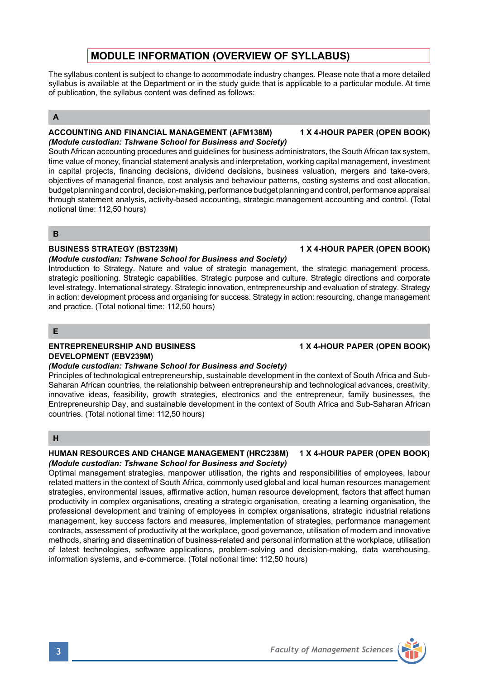# **MODULE INFORMATION (OVERVIEW OF SYLLABUS)**

The syllabus content is subject to change to accommodate industry changes. Please note that a more detailed syllabus is available at the Department or in the study guide that is applicable to a particular module. At time of publication, the syllabus content was defined as follows:

## **A**

### **ACCOUNTING AND FINANCIAL MANAGEMENT (AFM138M) 1 X 4-HOUR PAPER (OPEN BOOK)** *(Module custodian: Tshwane School for Business and Society)*

South African accounting procedures and guidelines for business administrators, the South African tax system, time value of money, financial statement analysis and interpretation, working capital management, investment in capital projects, financing decisions, dividend decisions, business valuation, mergers and take-overs, objectives of managerial finance, cost analysis and behaviour patterns, costing systems and cost allocation, budget planning and control, decision-making, performance budget planning and control, performance appraisal through statement analysis, activity-based accounting, strategic management accounting and control. (Total notional time: 112,50 hours)

**B**

## **BUSINESS STRATEGY (BST239M) 1 X 4-HOUR PAPER (OPEN BOOK)**

## *(Module custodian: Tshwane School for Business and Society)*

Introduction to Strategy. Nature and value of strategic management, the strategic management process, strategic positioning. Strategic capabilities. Strategic purpose and culture. Strategic directions and corporate level strategy. International strategy. Strategic innovation, entrepreneurship and evaluation of strategy. Strategy in action: development process and organising for success. Strategy in action: resourcing, change management and practice. (Total notional time: 112,50 hours)

**E**

## **ENTREPRENEURSHIP AND BUSINESS 1 X 4-HOUR PAPER (OPEN BOOK) DEVELOPMENT (EBV239M)**

## *(Module custodian: Tshwane School for Business and Society)*

Principles of technological entrepreneurship, sustainable development in the context of South Africa and Sub-Saharan African countries, the relationship between entrepreneurship and technological advances, creativity, innovative ideas, feasibility, growth strategies, electronics and the entrepreneur, family businesses, the Entrepreneurship Day, and sustainable development in the context of South Africa and Sub-Saharan African countries. (Total notional time: 112,50 hours)

## **H**

### **HUMAN RESOURCES AND CHANGE MANAGEMENT (HRC238M) 1 X 4-HOUR PAPER (OPEN BOOK)** *(Module custodian: Tshwane School for Business and Society)*

Optimal management strategies, manpower utilisation, the rights and responsibilities of employees, labour related matters in the context of South Africa, commonly used global and local human resources management strategies, environmental issues, affirmative action, human resource development, factors that affect human productivity in complex organisations, creating a strategic organisation, creating a learning organisation, the professional development and training of employees in complex organisations, strategic industrial relations management, key success factors and measures, implementation of strategies, performance management contracts, assessment of productivity at the workplace, good governance, utilisation of modern and innovative methods, sharing and dissemination of business-related and personal information at the workplace, utilisation of latest technologies, software applications, problem-solving and decision-making, data warehousing, information systems, and e-commerce. (Total notional time: 112,50 hours)

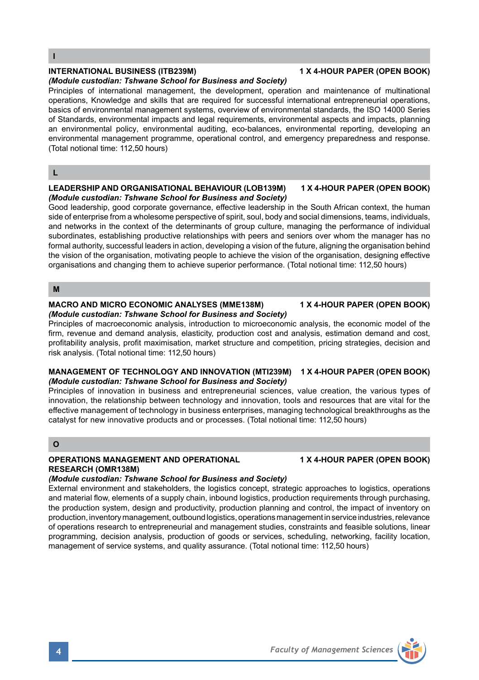**I**

## **INTERNATIONAL BUSINESS (ITB239M) 1 X 4-HOUR PAPER (OPEN BOOK)**

#### *(Module custodian: Tshwane School for Business and Society)*

Principles of international management, the development, operation and maintenance of multinational operations, Knowledge and skills that are required for successful international entrepreneurial operations, basics of environmental management systems, overview of environmental standards, the ISO 14000 Series of Standards, environmental impacts and legal requirements, environmental aspects and impacts, planning an environmental policy, environmental auditing, eco-balances, environmental reporting, developing an environmental management programme, operational control, and emergency preparedness and response. (Total notional time: 112,50 hours)

### **L**

### **LEADERSHIP AND ORGANISATIONAL BEHAVIOUR (LOB139M) 1 X 4-HOUR PAPER (OPEN BOOK)** *(Module custodian: Tshwane School for Business and Society)*

Good leadership, good corporate governance, effective leadership in the South African context, the human side of enterprise from a wholesome perspective of spirit, soul, body and social dimensions, teams, individuals, and networks in the context of the determinants of group culture, managing the performance of individual subordinates, establishing productive relationships with peers and seniors over whom the manager has no formal authority, successful leaders in action, developing a vision of the future, aligning the organisation behind the vision of the organisation, motivating people to achieve the vision of the organisation, designing effective organisations and changing them to achieve superior performance. (Total notional time: 112,50 hours)

## **M**

#### **MACRO AND MICRO ECONOMIC ANALYSES (MME138M) 1 X 4-HOUR PAPER (OPEN BOOK)** *(Module custodian: Tshwane School for Business and Society)*

Principles of macroeconomic analysis, introduction to microeconomic analysis, the economic model of the firm, revenue and demand analysis, elasticity, production cost and analysis, estimation demand and cost, profitability analysis, profit maximisation, market structure and competition, pricing strategies, decision and risk analysis. (Total notional time: 112,50 hours)

#### **MANAGEMENT OF TECHNOLOGY AND INNOVATION (MTI239M) 1 X 4-HOUR PAPER (OPEN BOOK)** *(Module custodian: Tshwane School for Business and Society)*

Principles of innovation in business and entrepreneurial sciences, value creation, the various types of innovation, the relationship between technology and innovation, tools and resources that are vital for the effective management of technology in business enterprises, managing technological breakthroughs as the catalyst for new innovative products and or processes. (Total notional time: 112,50 hours)

## **O**

## **OPERATIONS MANAGEMENT AND OPERATIONAL 1 X 4-HOUR PAPER (OPEN BOOK) RESEARCH (OMR138M)**

#### *(Module custodian: Tshwane School for Business and Society)*

External environment and stakeholders, the logistics concept, strategic approaches to logistics, operations and material flow, elements of a supply chain, inbound logistics, production requirements through purchasing, the production system, design and productivity, production planning and control, the impact of inventory on production, inventory management, outbound logistics, operations management in service industries, relevance of operations research to entrepreneurial and management studies, constraints and feasible solutions, linear programming, decision analysis, production of goods or services, scheduling, networking, facility location, management of service systems, and quality assurance. (Total notional time: 112,50 hours)

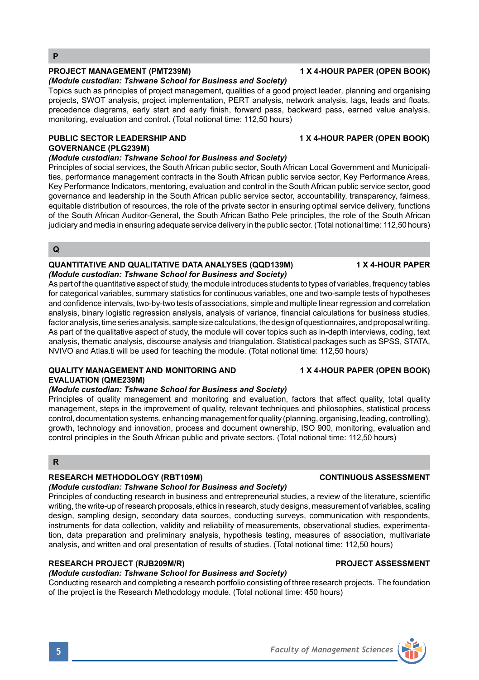## **PROJECT MANAGEMENT (PMT239M) 1 X 4-HOUR PAPER (OPEN BOOK)**

## *(Module custodian: Tshwane School for Business and Society)*

Topics such as principles of project management, qualities of a good project leader, planning and organising projects, SWOT analysis, project implementation, PERT analysis, network analysis, lags, leads and floats, precedence diagrams, early start and early finish, forward pass, backward pass, earned value analysis, monitoring, evaluation and control. (Total notional time: 112,50 hours)

## PUBLIC SECTOR LEADERSHIP AND **1 X 4-HOUR PAPER (OPEN BOOK) GOVERNANCE (PLG239M)**

## *(Module custodian: Tshwane School for Business and Society)*

Principles of social services, the South African public sector, South African Local Government and Municipalities, performance management contracts in the South African public service sector, Key Performance Areas, Key Performance Indicators, mentoring, evaluation and control in the South African public service sector, good governance and leadership in the South African public service sector, accountability, transparency, fairness, equitable distribution of resources, the role of the private sector in ensuring optimal service delivery, functions of the South African Auditor-General, the South African Batho Pele principles, the role of the South African judiciary and media in ensuring adequate service delivery in the public sector. (Total notional time: 112,50 hours)

### **Q**

#### **QUANTITATIVE AND QUALITATIVE DATA ANALYSES (QQD139M) 1 X 4-HOUR PAPER**  *(Module custodian: Tshwane School for Business and Society)*

As part of the quantitative aspect of study, the module introduces students to types of variables, frequency tables for categorical variables, summary statistics for continuous variables, one and two-sample tests of hypotheses and confidence intervals, two-by-two tests of associations, simple and multiple linear regression and correlation analysis, binary logistic regression analysis, analysis of variance, financial calculations for business studies, factor analysis, time series analysis, sample size calculations, the design of questionnaires, and proposal writing. As part of the qualitative aspect of study, the module will cover topics such as in-depth interviews, coding, text analysis, thematic analysis, discourse analysis and triangulation. Statistical packages such as SPSS, STATA, NVIVO and Atlas.ti will be used for teaching the module. (Total notional time: 112,50 hours)

## **QUALITY MANAGEMENT AND MONITORING AND 1 X 4-HOUR PAPER (OPEN BOOK) EVALUATION (QME239M)**

### *(Module custodian: Tshwane School for Business and Society)*

Principles of quality management and monitoring and evaluation, factors that affect quality, total quality management, steps in the improvement of quality, relevant techniques and philosophies, statistical process control, documentation systems, enhancing management for quality (planning, organising, leading, controlling), growth, technology and innovation, process and document ownership, ISO 900, monitoring, evaluation and control principles in the South African public and private sectors. (Total notional time: 112,50 hours)

#### **R**

## **RESEARCH METHODOLOGY (RBT109M) CONTINUOUS ASSESSMENT**

## *(Module custodian: Tshwane School for Business and Society)*

Principles of conducting research in business and entrepreneurial studies, a review of the literature, scientific writing, the write-up of research proposals, ethics in research, study designs, measurement of variables, scaling design, sampling design, secondary data sources, conducting surveys, communication with respondents, instruments for data collection, validity and reliability of measurements, observational studies, experimentation, data preparation and preliminary analysis, hypothesis testing, measures of association, multivariate analysis, and written and oral presentation of results of studies. (Total notional time: 112,50 hours)

## **RESEARCH PROJECT (RJB209M/R) PROJECT ASSESSMENT**

*(Module custodian: Tshwane School for Business and Society)* Conducting research and completing a research portfolio consisting of three research projects. The foundation of the project is the Research Methodology module. (Total notional time: 450 hours)